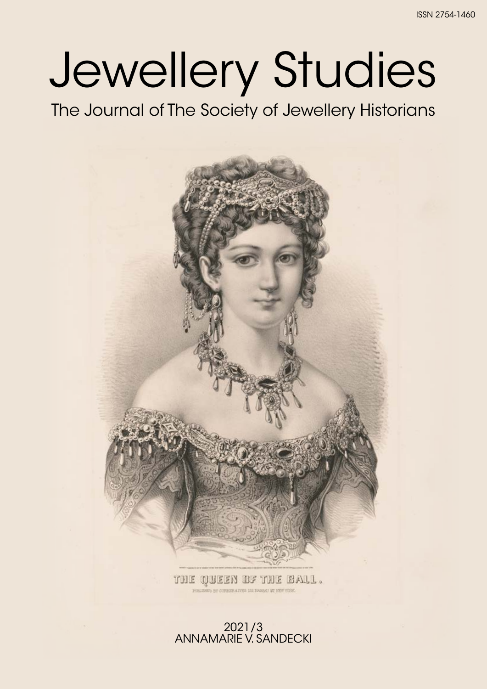# Jewellery Studies

The Journal of The Society of Jewellery Historians



THE QUEEN OF THE BALL.

#### 2021/3 ANNAMARIE V. SANDECKI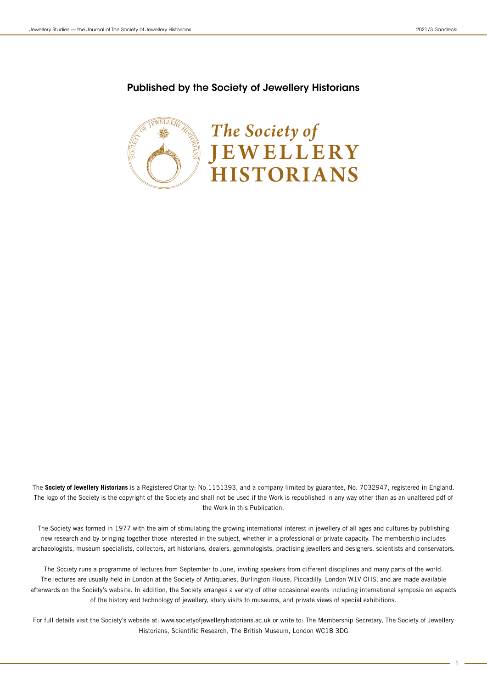#### Published by the Society of Jewellery Historians



The **Society of Jewellery Historians** is a Registered Charity: No.1151393, and a company limited by guarantee, No. 7032947, registered in England. The logo of the Society is the copyright of the Society and shall not be used if the Work is republished in any way other than as an unaltered pdf of the Work in this Publication.

The Society was formed in 1977 with the aim of stimulating the growing international interest in jewellery of all ages and cultures by publishing new research and by bringing together those interested in the subject, whether in a professional or private capacity. The membership includes archaeologists, museum specialists, collectors, art historians, dealers, gemmologists, practising jewellers and designers, scientists and conservators.

The Society runs a programme of lectures from September to June, inviting speakers from different disciplines and many parts of the world. The lectures are usually held in London at the Society of Antiquaries, Burlington House, Piccadilly, London W1V OHS, and are made available afterwards on the Society's website. In addition, the Society arranges a variety of other occasional events including international symposia on aspects of the history and technology of jewellery, study visits to museums, and private views of special exhibitions.

For full details visit the Society's website at: www.societyofjewelleryhistorians.ac.uk or write to: The Membership Secretary, The Society of Jewellery Historians, Scientific Research, The British Museum, London WC1B 3DG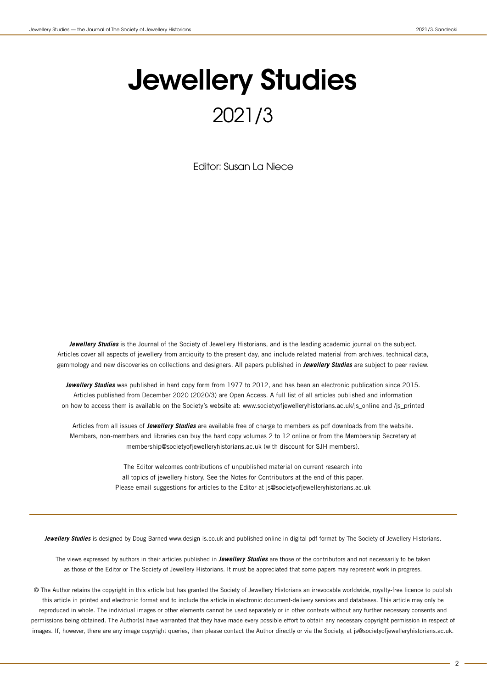## Jewellery Studies 2021/3

Editor: Susan La Niece

**Jewellery Studies** is the Journal of the Society of Jewellery Historians, and is the leading academic journal on the subject. Articles cover all aspects of jewellery from antiquity to the present day, and include related material from archives, technical data, gemmology and new discoveries on collections and designers. All papers published in **Jewellery Studies** are subject to peer review.

**Jewellery Studies** was published in hard copy form from 1977 to 2012, and has been an electronic publication since 2015. Articles published from December 2020 (2020/3) are Open Access. A full list of all articles published and information on how to access them is available on the Society's website at: www.societyofjewelleryhistorians.ac.uk/js\_online and /js\_printed

Articles from all issues of **Jewellery Studies** are available free of charge to members as pdf downloads from the website. Members, non-members and libraries can buy the hard copy volumes 2 to 12 online or from the Membership Secretary at membership@societyofjewelleryhistorians.ac.uk (with discount for SJH members).

> The Editor welcomes contributions of unpublished material on current research into all topics of jewellery history. See the Notes for Contributors at the end of this paper. Please email suggestions for articles to the Editor at js@societyofjewelleryhistorians.ac.uk

**Jewellery Studies** is designed by Doug Barned www.design-is.co.uk and published online in digital pdf format by The Society of Jewellery Historians.

The views expressed by authors in their articles published in **Jewellery Studies** are those of the contributors and not necessarily to be taken as those of the Editor or The Society of Jewellery Historians. It must be appreciated that some papers may represent work in progress.

© The Author retains the copyright in this article but has granted the Society of Jewellery Historians an irrevocable worldwide, royalty-free licence to publish this article in printed and electronic format and to include the article in electronic document-delivery services and databases. This article may only be reproduced in whole. The individual images or other elements cannot be used separately or in other contexts without any further necessary consents and permissions being obtained. The Author(s) have warranted that they have made every possible effort to obtain any necessary copyright permission in respect of images. If, however, there are any image copyright queries, then please contact the Author directly or via the Society, at js@societyofjewelleryhistorians.ac.uk.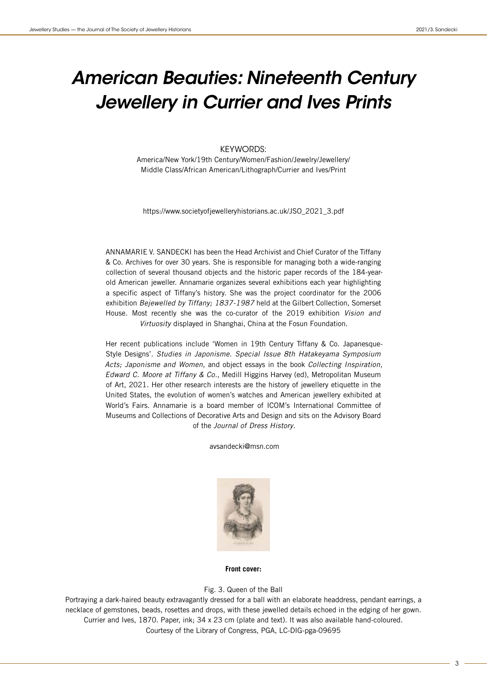## *American Beauties: Nineteenth Century Jewellery in Currier and Ives Prints*

#### KEYWORDS:

America/New York/19th Century/Women/Fashion/Jewelry/Jewellery/ Middle Class/African American/Lithograph/Currier and Ives/Print

https://www.societyofjewelleryhistorians.ac.uk/JSO\_2021\_3.pdf

ANNAMARIE V. SANDECKI has been the Head Archivist and Chief Curator of the Tiffany & Co. Archives for over 30 years. She is responsible for managing both a wide-ranging collection of several thousand objects and the historic paper records of the 184-yearold American jeweller. Annamarie organizes several exhibitions each year highlighting a specific aspect of Tiffany's history. She was the project coordinator for the 2006 exhibition Bejewelled by Tiffany; 1837-1987 held at the Gilbert Collection, Somerset House. Most recently she was the co-curator of the 2019 exhibition Vision and Virtuosity displayed in Shanghai, China at the Fosun Foundation.

Her recent publications include 'Women in 19th Century Tiffany & Co. Japanesque-Style Designs'. Studies in Japonisme. Special Issue 8th Hatakeyama Symposium Acts; Japonisme and Women, and object essays in the book Collecting Inspiration, Edward C. Moore at Tiffany & Co., Medill Higgins Harvey (ed), Metropolitan Museum of Art, 2021. Her other research interests are the history of jewellery etiquette in the United States, the evolution of women's watches and American jewellery exhibited at World's Fairs. Annamarie is a board member of ICOM's International Committee of Museums and Collections of Decorative Arts and Design and sits on the Advisory Board of the Journal of Dress History.

avsandecki@msn.com



**Front cover:**

#### Fig. 3. Queen of the Ball

Portraying a dark-haired beauty extravagantly dressed for a ball with an elaborate headdress, pendant earrings, a necklace of gemstones, beads, rosettes and drops, with these jewelled details echoed in the edging of her gown. Currier and Ives, 1870. Paper, ink; 34 x 23 cm (plate and text). It was also available hand-coloured. Courtesy of the Library of Congress, PGA, LC-DIG-pga-09695

3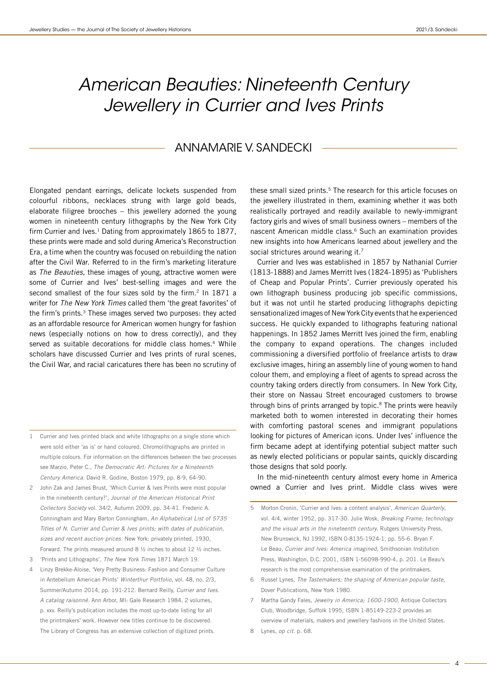### *American Beauties: Nineteenth Century Jewellery in Currier and Ives Prints*

#### ANNAMARIE V. SANDECKI

Elongated pendant earrings, delicate lockets suspended from colourful ribbons, necklaces strung with large gold beads, elaborate filigree brooches – this jewellery adorned the young women in nineteenth century lithographs by the New York City firm Currier and Ives. $1$  Dating from approximately 1865 to 1877, these prints were made and sold during America's Reconstruction Era, a time when the country was focused on rebuilding the nation after the Civil War. Referred to in the firm's marketing literature as The Beauties, these images of young, attractive women were some of Currier and Ives' best-selling images and were the second smallest of the four sizes sold by the firm.<sup>2</sup> In 1871 a writer for The New York Times called them 'the great favorites' of the firm's prints.<sup>3</sup> These images served two purposes: they acted as an affordable resource for American women hungry for fashion news (especially notions on how to dress correctly), and they served as suitable decorations for middle class homes.<sup>4</sup> While scholars have discussed Currier and Ives prints of rural scenes, the Civil War, and racial caricatures there has been no scrutiny of

- 1 Currier and Ives printed black and white lithographs on a single stone which were sold either 'as is' or hand coloured. Chromolithographs are printed in multiple colours. For information on the differences between the two processes see Marzio, Peter C., The Democratic Art: Pictures for a Nineteenth Century America. David R. Godine, Boston 1979, pp. 8-9, 64-90.
- 2 John Zak and James Brust, 'Which Currier & Ives Prints were most popular in the nineteenth century?', Journal of the American Historical Print Collectors Society vol. 34/2, Autumn 2009, pp. 34-41. Frederic A. Conningham and Mary Barton Conningham, An Alphabetical List of 5735 Titles of N. Currier and Currier & Ives prints; with dates of publication, sizes and recent auction prices. New York: privately printed, 1930, Forward. The prints measured around 8 ½ inches to about 12 ½ inches.
- 3 'Prints and Lithographs', The New York Times 1871 March 19.
- 4 Linzy Brekke-Aloise, 'Very Pretty Business: Fashion and Consumer Culture in Antebellum American Prints' Winterthur Portfolio, vol. 48, no. 2/3, Summer/Autumn 2014, pp. 191-212. Bernard Reilly, Currier and Ives. A catalog raisonné. Ann Arbor, MI: Gale Research 1984, 2 volumes, p. xxv. Reilly's publication includes the most up-to-date listing for all the printmakers' work. However new titles continue to be discovered. The Library of Congress has an extensive collection of digitized prints.

these small sized prints.<sup>5</sup> The research for this article focuses on the jewellery illustrated in them, examining whether it was both realistically portrayed and readily available to newly-immigrant factory girls and wives of small business owners – members of the nascent American middle class.<sup>6</sup> Such an examination provides new insights into how Americans learned about jewellery and the social strictures around wearing it.<sup>7</sup>

Currier and Ives was established in 1857 by Nathanial Currier (1813-1888) and James Merritt Ives (1824-1895) as 'Publishers of Cheap and Popular Prints'. Currier previously operated his own lithograph business producing job specific commissions, but it was not until he started producing lithographs depicting sensationalized images of New York City events that he experienced success. He quickly expanded to lithographs featuring national happenings. In 1852 James Merritt Ives joined the firm, enabling the company to expand operations. The changes included commissioning a diversified portfolio of freelance artists to draw exclusive images, hiring an assembly line of young women to hand colour them, and employing a fleet of agents to spread across the country taking orders directly from consumers. In New York City, their store on Nassau Street encouraged customers to browse through bins of prints arranged by topic.8 The prints were heavily marketed both to women interested in decorating their homes with comforting pastoral scenes and immigrant populations looking for pictures of American icons. Under Ives' influence the firm became adept at identifying potential subject matter such as newly elected politicians or popular saints, quickly discarding those designs that sold poorly.

In the mid-nineteenth century almost every home in America owned a Currier and Ives print. Middle class wives were

- 5 Morton Cronin, 'Currier and Ives: a content analysis', American Quarterly, vol. 4/4, winter 1952, pp. 317-30. Julie Wosk, Breaking Frame; technology and the visual arts in the nineteenth century. Rutgers University Press, New Brunswick, NJ 1992, ISBN 0-8135-1924-1, pp. 55-6. Bryan F. Le Beau, Currier and Ives: America imagined, Smithsonian Institution Press, Washington, D.C. 2001, ISBN 1-56098-990-4, p. 201. Le Beau's research is the most comprehensive examination of the printmakers.
- 6 Russel Lynes, The Tastemakers; the shaping of American popular taste, Dover Publications, New York 1980.
- 7 Martha Gandy Fales, Jewelry in America; 1600-1900, Antique Collectors Club, Woodbridge, Suffolk 1995, ISBN 1-85149-223-2 provides an overview of materials, makers and jewellery fashions in the United States.
- 8 Lynes, op cit. p. 68.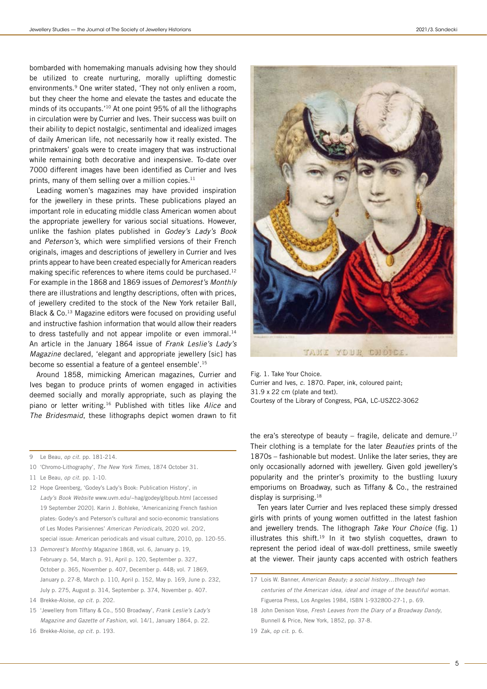bombarded with homemaking manuals advising how they should be utilized to create nurturing, morally uplifting domestic environments.<sup>9</sup> One writer stated, 'They not only enliven a room, but they cheer the home and elevate the tastes and educate the minds of its occupants.'10 At one point 95% of all the lithographs in circulation were by Currier and Ives. Their success was built on their ability to depict nostalgic, sentimental and idealized images of daily American life, not necessarily how it really existed. The printmakers' goals were to create imagery that was instructional while remaining both decorative and inexpensive. To-date over 7000 different images have been identified as Currier and Ives prints, many of them selling over a million copies.<sup>11</sup>

Leading women's magazines may have provided inspiration for the jewellery in these prints. These publications played an important role in educating middle class American women about the appropriate jewellery for various social situations. However, unlike the fashion plates published in Godey's Lady's Book and Peterson's, which were simplified versions of their French originals, images and descriptions of jewellery in Currier and Ives prints appear to have been created especially for American readers making specific references to where items could be purchased.<sup>12</sup> For example in the 1868 and 1869 issues of Demorest's Monthly there are illustrations and lengthy descriptions, often with prices, of jewellery credited to the stock of the New York retailer Ball, Black & Co.13 Magazine editors were focused on providing useful and instructive fashion information that would allow their readers to dress tastefully and not appear impolite or even immoral.<sup>14</sup> An article in the January 1864 issue of Frank Leslie's Lady's Magazine declared, 'elegant and appropriate jewellery [sic] has become so essential a feature of a genteel ensemble'.15

Around 1858, mimicking American magazines, Currier and Ives began to produce prints of women engaged in activities deemed socially and morally appropriate, such as playing the piano or letter writing.<sup>16</sup> Published with titles like Alice and The Bridesmaid, these lithographs depict women drawn to fit

- 11 Le Beau, op cit. pp. 1-10.
- 12 Hope Greenberg, 'Godey's Lady's Book: Publication History', in Lady's Book Website www.uvm.edu/~hag/godey/glbpub.html [accessed 19 September 2020]. Karin J. Bohleke, 'Americanizing French fashion plates: Godey's and Peterson's cultural and socio-economic translations of Les Modes Parisiennes' American Periodicals, 2020 vol. 20/2, special issue: American periodicals and visual culture, 2010, pp. 120-55.
- 13 Demorest's Monthly Magazine 1868, vol. 6, January p. 19, February p. 54, March p. 91, April p. 120, September p. 327, October p. 365, November p. 407, December p. 448; vol. 7 1869, January p. 27-8, March p. 110, April p. 152, May p. 169, June p. 232, July p. 275, August p. 314, September p. 374, November p. 407.
- 14 Brekke-Aloise, op cit. p. 202.
- 15 'Jewellery from Tiffany & Co., 550 Broadway', Frank Leslie's Lady's Magazine and Gazette of Fashion, vol. 14/1, January 1864, p. 22.
- 16 Brekke-Aloise, op cit. p. 193.



TAKE YOUR CHOICE

Fig. 1. Take Your Choice.

Currier and Ives, c. 1870. Paper, ink, coloured paint; 31.9 x 22 cm (plate and text). Courtesy of the Library of Congress, PGA, LC-USZC2-3062

the era's stereotype of beauty – fragile, delicate and demure.<sup>17</sup> Their clothing is a template for the later Beauties prints of the 1870s – fashionable but modest. Unlike the later series, they are only occasionally adorned with jewellery. Given gold jewellery's popularity and the printer's proximity to the bustling luxury emporiums on Broadway, such as Tiffany & Co., the restrained display is surprising.<sup>18</sup>

Ten years later Currier and Ives replaced these simply dressed girls with prints of young women outfitted in the latest fashion and jewellery trends. The lithograph Take Your Choice (fig. 1) illustrates this shift.<sup>19</sup> In it two stylish coquettes, drawn to represent the period ideal of wax-doll prettiness, smile sweetly at the viewer. Their jaunty caps accented with ostrich feathers

18 John Denison Vose, Fresh Leaves from the Diary of a Broadway Dandy, Bunnell & Price, New York, 1852, pp. 37-8.

<sup>9</sup> Le Beau, op cit. pp. 181-214.

<sup>10</sup> 'Chromo-Lithography', The New York Times, 1874 October 31.

<sup>17</sup> Lois W. Banner, American Beauty; a social history…through two centuries of the American idea, ideal and image of the beautiful woman. Figueroa Press, Los Angeles 1984, ISBN 1-932800-27-1, p. 69.

<sup>19</sup> Zak, op cit. p. 6.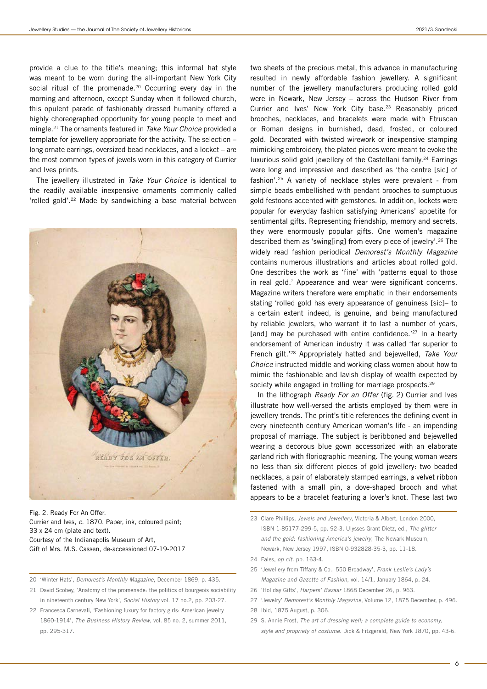provide a clue to the title's meaning; this informal hat style was meant to be worn during the all-important New York City social ritual of the promenade.<sup>20</sup> Occurring every day in the morning and afternoon, except Sunday when it followed church, this opulent parade of fashionably dressed humanity offered a highly choreographed opportunity for young people to meet and mingle.<sup>21</sup> The ornaments featured in Take Your Choice provided a template for jewellery appropriate for the activity. The selection – long ornate earrings, oversized bead necklaces, and a locket – are the most common types of jewels worn in this category of Currier and Ives prints.

The jewellery illustrated in Take Your Choice is identical to the readily available inexpensive ornaments commonly called 'rolled gold'.22 Made by sandwiching a base material between



Fig. 2. Ready For An Offer. Currier and Ives, c. 1870. Paper, ink, coloured paint; 33 x 24 cm (plate and text). Courtesy of the Indianapolis Museum of Art, Gift of Mrs. M.S. Cassen, de-accessioned 07-19-2017

- 20 'Winter Hats', Demorest's Monthly Magazine, December 1869, p. 435.
- 21 David Scobey, 'Anatomy of the promenade: the politics of bourgeois sociability in nineteenth century New York', Social History vol. 17 no.2, pp. 203-27.
- 22 Francesca Carnevali, 'Fashioning luxury for factory girls: American jewelry 1860-1914', The Business History Review, vol. 85 no. 2, summer 2011, pp. 295-317.

two sheets of the precious metal, this advance in manufacturing resulted in newly affordable fashion jewellery. A significant number of the jewellery manufacturers producing rolled gold were in Newark, New Jersey – across the Hudson River from Currier and Ives' New York City base.23 Reasonably priced brooches, necklaces, and bracelets were made with Etruscan or Roman designs in burnished, dead, frosted, or coloured gold. Decorated with twisted wirework or inexpensive stamping mimicking embroidery, the plated pieces were meant to evoke the luxurious solid gold jewellery of the Castellani family.<sup>24</sup> Earrings were long and impressive and described as 'the centre [sic] of fashion'.25 A variety of necklace styles were prevalent - from simple beads embellished with pendant brooches to sumptuous gold festoons accented with gemstones. In addition, lockets were popular for everyday fashion satisfying Americans' appetite for sentimental gifts. Representing friendship, memory and secrets, they were enormously popular gifts. One women's magazine described them as 'swing[ing] from every piece of jewelry'.26 The widely read fashion periodical Demorest's Monthly Magazine contains numerous illustrations and articles about rolled gold. One describes the work as 'fine' with 'patterns equal to those in real gold.' Appearance and wear were significant concerns. Magazine writers therefore were emphatic in their endorsements stating 'rolled gold has every appearance of genuiness [sic]– to a certain extent indeed, is genuine, and being manufactured by reliable jewelers, who warrant it to last a number of years, [and] may be purchased with entire confidence.<sup>'27</sup> In a hearty endorsement of American industry it was called 'far superior to French gilt.'28 Appropriately hatted and bejewelled, Take Your Choice instructed middle and working class women about how to mimic the fashionable and lavish display of wealth expected by society while engaged in trolling for marriage prospects.<sup>29</sup>

In the lithograph Ready For an Offer (fig. 2) Currier and Ives illustrate how well-versed the artists employed by them were in jewellery trends. The print's title references the defining event in every nineteenth century American woman's life - an impending proposal of marriage. The subject is beribboned and bejewelled wearing a decorous blue gown accessorized with an elaborate garland rich with floriographic meaning. The young woman wears no less than six different pieces of gold jewellery: two beaded necklaces, a pair of elaborately stamped earrings, a velvet ribbon fastened with a small pin, a dove-shaped brooch and what appears to be a bracelet featuring a lover's knot. These last two

- 24 Fales, op cit. pp. 163-4.
- 25 'Jewellery from Tiffany & Co., 550 Broadway', Frank Leslie's Lady's Magazine and Gazette of Fashion, vol. 14/1, January 1864, p. 24.
- 26 'Holiday Gifts', Harpers' Bazaar 1868 December 26, p. 963.
- 27 'Jewelry' Demorest's Monthly Magazine, Volume 12, 1875 December, p. 496.
- 28 Ibid, 1875 August, p. 306.
- 29 S. Annie Frost, The art of dressing well: a complete guide to economy, style and propriety of costume. Dick & Fitzgerald, New York 1870, pp. 43-6.

<sup>23</sup> Clare Phillips, Jewels and Jewellery, Victoria & Albert, London 2000, ISBN 1-85177-299-5, pp. 92-3. Ulysses Grant Dietz, ed., The glitter and the gold; fashioning America's jewelry, The Newark Museum, Newark, New Jersey 1997, ISBN 0-932828-35-3, pp. 11-18.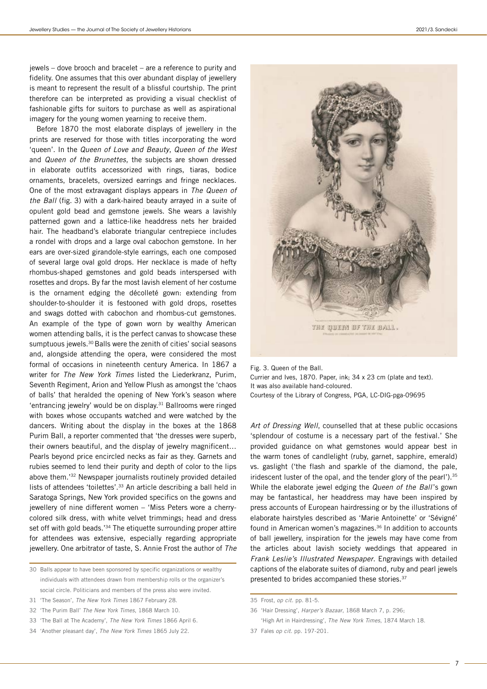jewels – dove brooch and bracelet – are a reference to purity and fidelity. One assumes that this over abundant display of jewellery is meant to represent the result of a blissful courtship. The print therefore can be interpreted as providing a visual checklist of fashionable gifts for suitors to purchase as well as aspirational imagery for the young women yearning to receive them.

Before 1870 the most elaborate displays of jewellery in the prints are reserved for those with titles incorporating the word 'queen'. In the Queen of Love and Beauty, Queen of the West and Queen of the Brunettes, the subjects are shown dressed in elaborate outfits accessorized with rings, tiaras, bodice ornaments, bracelets, oversized earrings and fringe necklaces. One of the most extravagant displays appears in The Queen of the Ball (fig. 3) with a dark-haired beauty arrayed in a suite of opulent gold bead and gemstone jewels. She wears a lavishly patterned gown and a lattice-like headdress nets her braided hair. The headband's elaborate triangular centrepiece includes a rondel with drops and a large oval cabochon gemstone. In her ears are over-sized girandole-style earrings, each one composed of several large oval gold drops. Her necklace is made of hefty rhombus-shaped gemstones and gold beads interspersed with rosettes and drops. By far the most lavish element of her costume is the ornament edging the décolleté gown: extending from shoulder-to-shoulder it is festooned with gold drops, rosettes and swags dotted with cabochon and rhombus-cut gemstones. An example of the type of gown worn by wealthy American women attending balls, it is the perfect canvas to showcase these sumptuous jewels.<sup>30</sup> Balls were the zenith of cities' social seasons and, alongside attending the opera, were considered the most formal of occasions in nineteenth century America. In 1867 a writer for The New York Times listed the Liederkranz, Purim, Seventh Regiment, Arion and Yellow Plush as amongst the 'chaos of balls' that heralded the opening of New York's season where 'entrancing jewelry' would be on display.31 Ballrooms were ringed with boxes whose occupants watched and were watched by the dancers. Writing about the display in the boxes at the 1868 Purim Ball, a reporter commented that 'the dresses were superb, their owners beautiful, and the display of jewelry magnificent… Pearls beyond price encircled necks as fair as they. Garnets and rubies seemed to lend their purity and depth of color to the lips above them.'32 Newspaper journalists routinely provided detailed lists of attendees 'toilettes'.33 An article describing a ball held in Saratoga Springs, New York provided specifics on the gowns and jewellery of nine different women – 'Miss Peters wore a cherrycolored silk dress, with white velvet trimmings; head and dress set off with gold beads.<sup>34</sup> The etiquette surrounding proper attire for attendees was extensive, especially regarding appropriate jewellery. One arbitrator of taste, S. Annie Frost the author of The

- 30 Balls appear to have been sponsored by specific organizations or wealthy individuals with attendees drawn from membership rolls or the organizer's social circle. Politicians and members of the press also were invited.
- 31 'The Season', The New York Times 1867 February 28.
- 32 'The Purim Ball' The New York Times, 1868 March 10.
- 33 'The Ball at The Academy', The New York Times 1866 April 6.
- 34 'Another pleasant day', The New York Times 1865 July 22.



Fig. 3. Queen of the Ball. Currier and Ives, 1870. Paper, ink; 34 x 23 cm (plate and text). It was also available hand-coloured. Courtesy of the Library of Congress, PGA, LC-DIG-pga-09695

Art of Dressing Well, counselled that at these public occasions 'splendour of costume is a necessary part of the festival.' She provided guidance on what gemstones would appear best in the warm tones of candlelight (ruby, garnet, sapphire, emerald) vs. gaslight ('the flash and sparkle of the diamond, the pale, iridescent luster of the opal, and the tender glory of the pearl').<sup>35</sup> While the elaborate jewel edging the Queen of the Ball's gown may be fantastical, her headdress may have been inspired by press accounts of European hairdressing or by the illustrations of elaborate hairstyles described as 'Marie Antoinette' or 'Sévigné' found in American women's magazines.<sup>36</sup> In addition to accounts of ball jewellery, inspiration for the jewels may have come from the articles about lavish society weddings that appeared in Frank Leslie's Illustrated Newspaper. Engravings with detailed captions of the elaborate suites of diamond, ruby and pearl jewels presented to brides accompanied these stories.<sup>37</sup>

- 36 'Hair Dressing', Harper's Bazaar, 1868 March 7, p. 296; 'High Art in Hairdressing', The New York Times, 1874 March 18.
- 37 Fales op cit. pp. 197-201.

<sup>35</sup> Frost, op cit. pp. 81-5.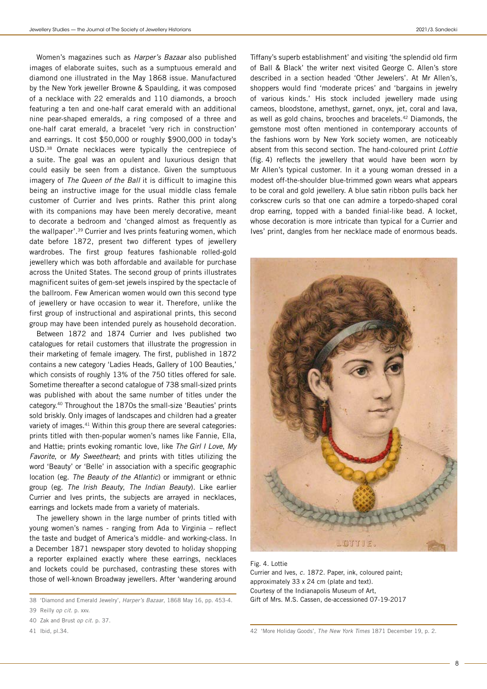Women's magazines such as Harper's Bazaar also published images of elaborate suites, such as a sumptuous emerald and diamond one illustrated in the May 1868 issue. Manufactured by the New York jeweller Browne & Spaulding, it was composed of a necklace with 22 emeralds and 110 diamonds, a brooch featuring a ten and one-half carat emerald with an additional nine pear-shaped emeralds, a ring composed of a three and one-half carat emerald, a bracelet 'very rich in construction' and earrings. It cost \$50,000 or roughly \$900,000 in today's USD.38 Ornate necklaces were typically the centrepiece of a suite. The goal was an opulent and luxurious design that could easily be seen from a distance. Given the sumptuous imagery of The Queen of the Ball it is difficult to imagine this being an instructive image for the usual middle class female customer of Currier and Ives prints. Rather this print along with its companions may have been merely decorative, meant to decorate a bedroom and 'changed almost as frequently as the wallpaper'.39 Currier and Ives prints featuring women, which date before 1872, present two different types of jewellery wardrobes. The first group features fashionable rolled-gold jewellery which was both affordable and available for purchase across the United States. The second group of prints illustrates magnificent suites of gem-set jewels inspired by the spectacle of the ballroom. Few American women would own this second type of jewellery or have occasion to wear it. Therefore, unlike the first group of instructional and aspirational prints, this second group may have been intended purely as household decoration.

Between 1872 and 1874 Currier and Ives published two catalogues for retail customers that illustrate the progression in their marketing of female imagery. The first, published in 1872 contains a new category 'Ladies Heads, Gallery of 100 Beauties,' which consists of roughly 13% of the 750 titles offered for sale. Sometime thereafter a second catalogue of 738 small-sized prints was published with about the same number of titles under the category.40 Throughout the 1870s the small-size 'Beauties' prints sold briskly. Only images of landscapes and children had a greater variety of images.<sup>41</sup> Within this group there are several categories: prints titled with then-popular women's names like Fannie, Ella, and Hattie; prints evoking romantic love, like The Girl I Love, My Favorite, or My Sweetheart; and prints with titles utilizing the word 'Beauty' or 'Belle' in association with a specific geographic location (eg. The Beauty of the Atlantic) or immigrant or ethnic group (eg. The Irish Beauty, The Indian Beauty). Like earlier Currier and Ives prints, the subjects are arrayed in necklaces, earrings and lockets made from a variety of materials.

The jewellery shown in the large number of prints titled with young women's names - ranging from Ada to Virginia – reflect the taste and budget of America's middle- and working-class. In a December 1871 newspaper story devoted to holiday shopping a reporter explained exactly where these earrings, necklaces and lockets could be purchased, contrasting these stores with those of well-known Broadway jewellers. After 'wandering around

- 40 Zak and Brust op cit. p. 37.
- 41 Ibid, pl.34.

Tiffany's superb establishment' and visiting 'the splendid old firm of Ball & Black' the writer next visited George C. Allen's store described in a section headed 'Other Jewelers'. At Mr Allen's, shoppers would find 'moderate prices' and 'bargains in jewelry of various kinds.' His stock included jewellery made using cameos, bloodstone, amethyst, garnet, onyx, jet, coral and lava, as well as gold chains, brooches and bracelets.42 Diamonds, the gemstone most often mentioned in contemporary accounts of the fashions worn by New York society women, are noticeably absent from this second section. The hand-coloured print Lottie (fig. 4) reflects the jewellery that would have been worn by Mr Allen's typical customer. In it a young woman dressed in a modest off-the-shoulder blue-trimmed gown wears what appears to be coral and gold jewellery. A blue satin ribbon pulls back her corkscrew curls so that one can admire a torpedo-shaped coral drop earring, topped with a banded finial-like bead. A locket, whose decoration is more intricate than typical for a Currier and Ives' print, dangles from her necklace made of enormous beads.



Fig. 4. Lottie Currier and Ives, c. 1872. Paper, ink, coloured paint; approximately 33 x 24 cm (plate and text). Courtesy of the Indianapolis Museum of Art, Gift of Mrs. M.S. Cassen, de-accessioned 07-19-2017

<sup>38</sup> 'Diamond and Emerald Jewelry', Harper's Bazaar, 1868 May 16, pp. 453-4.

<sup>39</sup> Reilly op cit. p. xxv.

<sup>42</sup> 'More Holiday Goods', The New York Times 1871 December 19, p. 2.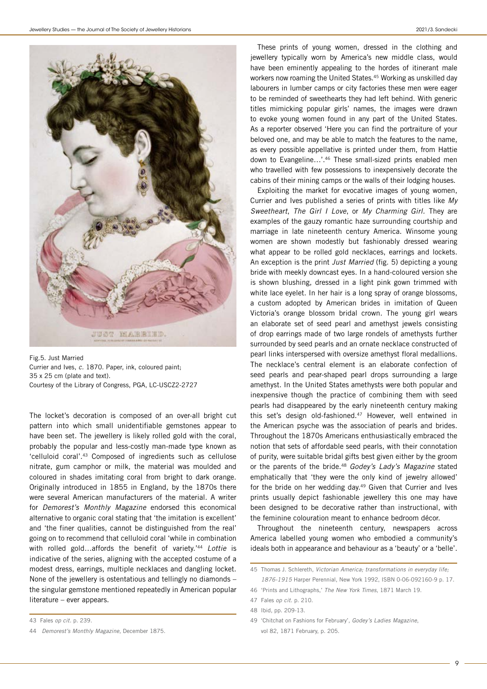

Fig.5. Just Married Currier and Ives, c. 1870. Paper, ink, coloured paint; 35 x 25 cm (plate and text). Courtesy of the Library of Congress, PGA, LC-USCZ2-2727

The locket's decoration is composed of an over-all bright cut pattern into which small unidentifiable gemstones appear to have been set. The jewellery is likely rolled gold with the coral, probably the popular and less-costly man-made type known as 'celluloid coral'.43 Composed of ingredients such as cellulose nitrate, gum camphor or milk, the material was moulded and coloured in shades imitating coral from bright to dark orange. Originally introduced in 1855 in England, by the 1870s there were several American manufacturers of the material. A writer for Demorest's Monthly Magazine endorsed this economical alternative to organic coral stating that 'the imitation is excellent' and 'the finer qualities, cannot be distinguished from the real' going on to recommend that celluloid coral 'while in combination with rolled gold...affords the benefit of variety.<sup>'44</sup> Lottie is indicative of the series, aligning with the accepted costume of a modest dress, earrings, multiple necklaces and dangling locket. None of the jewellery is ostentatious and tellingly no diamonds – the singular gemstone mentioned repeatedly in American popular literature – ever appears.

43 Fales op cit. p. 239.

These prints of young women, dressed in the clothing and jewellery typically worn by America's new middle class, would have been eminently appealing to the hordes of itinerant male workers now roaming the United States.<sup>45</sup> Working as unskilled day labourers in lumber camps or city factories these men were eager to be reminded of sweethearts they had left behind. With generic titles mimicking popular girls' names, the images were drawn to evoke young women found in any part of the United States. As a reporter observed 'Here you can find the portraiture of your beloved one, and may be able to match the features to the name, as every possible appellative is printed under them, from Hattie down to Evangeline…'.46 These small-sized prints enabled men who travelled with few possessions to inexpensively decorate the cabins of their mining camps or the walls of their lodging houses.

Exploiting the market for evocative images of young women, Currier and Ives published a series of prints with titles like My Sweetheart, The Girl I Love, or My Charming Girl. They are examples of the gauzy romantic haze surrounding courtship and marriage in late nineteenth century America. Winsome young women are shown modestly but fashionably dressed wearing what appear to be rolled gold necklaces, earrings and lockets. An exception is the print Just Married (fig. 5) depicting a young bride with meekly downcast eyes. In a hand-coloured version she is shown blushing, dressed in a light pink gown trimmed with white lace eyelet. In her hair is a long spray of orange blossoms, a custom adopted by American brides in imitation of Queen Victoria's orange blossom bridal crown. The young girl wears an elaborate set of seed pearl and amethyst jewels consisting of drop earrings made of two large rondels of amethysts further surrounded by seed pearls and an ornate necklace constructed of pearl links interspersed with oversize amethyst floral medallions. The necklace's central element is an elaborate confection of seed pearls and pear-shaped pearl drops surrounding a large amethyst. In the United States amethysts were both popular and inexpensive though the practice of combining them with seed pearls had disappeared by the early nineteenth century making this set's design old-fashioned.<sup>47</sup> However, well entwined in the American psyche was the association of pearls and brides. Throughout the 1870s Americans enthusiastically embraced the notion that sets of affordable seed pearls, with their connotation of purity, were suitable bridal gifts best given either by the groom or the parents of the bride.<sup>48</sup> Godey's Lady's Magazine stated emphatically that 'they were the only kind of jewelry allowed' for the bride on her wedding day.<sup>49</sup> Given that Currier and Ives prints usually depict fashionable jewellery this one may have been designed to be decorative rather than instructional, with the feminine colouration meant to enhance bedroom décor.

Throughout the nineteenth century, newspapers across America labelled young women who embodied a community's ideals both in appearance and behaviour as a 'beauty' or a 'belle'.

49 'Chitchat on Fashions for February', Godey's Ladies Magazine, vol 82, 1871 February, p. 205.

9

<sup>44</sup> Demorest's Monthly Magazine, December 1875.

<sup>45</sup> Thomas J. Schlereth, Victorian America; transformations in everyday life; 1876-1915 Harper Perennial, New York 1992, ISBN 0-06-092160-9 p. 17.

<sup>46</sup> 'Prints and Lithographs,' The New York Times, 1871 March 19.

<sup>47</sup> Fales op cit. p. 210.

<sup>48</sup> Ibid, pp. 209-13.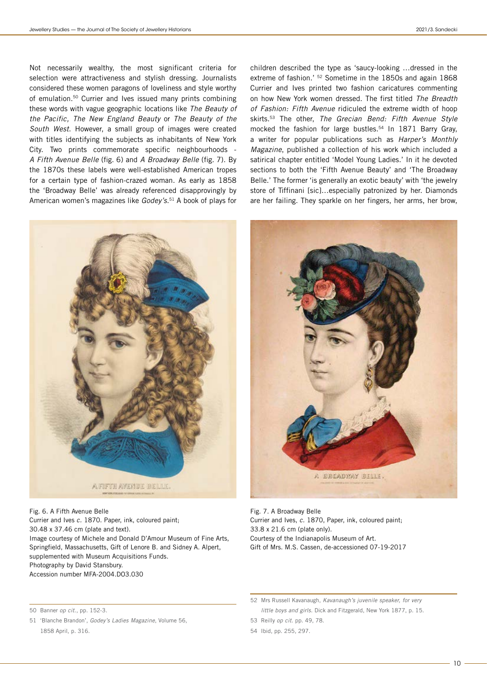Not necessarily wealthy, the most significant criteria for selection were attractiveness and stylish dressing. Journalists considered these women paragons of loveliness and style worthy of emulation.50 Currier and Ives issued many prints combining these words with vague geographic locations like The Beauty of the Pacific, The New England Beauty or The Beauty of the South West. However, a small group of images were created with titles identifying the subjects as inhabitants of New York City. Two prints commemorate specific neighbourhoods - A Fifth Avenue Belle (fig. 6) and A Broadway Belle (fig. 7). By the 1870s these labels were well-established American tropes for a certain type of fashion-crazed woman. As early as 1858 the 'Broadway Belle' was already referenced disapprovingly by American women's magazines like *Godey's*.<sup>51</sup> A book of plays for children described the type as 'saucy-looking …dressed in the extreme of fashion.' 52 Sometime in the 1850s and again 1868 Currier and Ives printed two fashion caricatures commenting on how New York women dressed. The first titled The Breadth of Fashion: Fifth Avenue ridiculed the extreme width of hoop skirts.<sup>53</sup> The other, The Grecian Bend: Fifth Avenue Style mocked the fashion for large bustles.<sup>54</sup> In 1871 Barry Gray, a writer for popular publications such as Harper's Monthly Magazine, published a collection of his work which included a satirical chapter entitled 'Model Young Ladies.' In it he devoted sections to both the 'Fifth Avenue Beauty' and 'The Broadway Belle.' The former 'is generally an exotic beauty' with 'the jewelry store of Tiffinani [sic]…especially patronized by her. Diamonds are her failing. They sparkle on her fingers, her arms, her brow,



Fig. 6. A Fifth Avenue Belle Currier and Ives c. 1870. Paper, ink, coloured paint; 30.48 x 37.46 cm (plate and text). Image courtesy of Michele and Donald D'Amour Museum of Fine Arts, Springfield, Massachusetts, Gift of Lenore B. and Sidney A. Alpert, supplemented with Museum Acquisitions Funds. Photography by David Stansbury. Accession number MFA-2004.DO3.030



Fig. 7. A Broadway Belle Currier and Ives, c. 1870, Paper, ink, coloured paint; 33.8 x 21.6 cm (plate only). Courtesy of the Indianapolis Museum of Art. Gift of Mrs. M.S. Cassen, de-accessioned 07-19-2017

51 'Blanche Brandon', Godey's Ladies Magazine, Volume 56, 1858 April, p. 316.

<sup>50</sup> Banner op cit., pp. 152-3.

<sup>52</sup> Mrs Russell Kavanaugh, Kavanaugh's juvenile speaker, for very little boys and girls. Dick and Fitzgerald, New York 1877, p. 15.

<sup>53</sup> Reilly op cit. pp. 49, 78.

<sup>54</sup> Ibid, pp. 255, 297.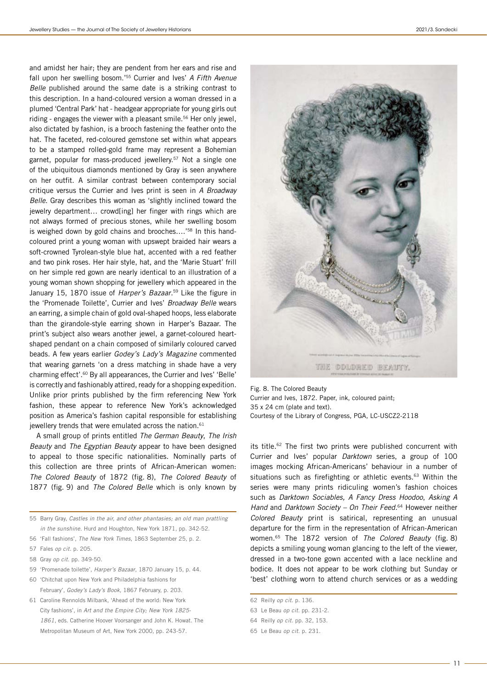and amidst her hair; they are pendent from her ears and rise and fall upon her swelling bosom.<sup>'55</sup> Currier and Ives' A Fifth Avenue Belle published around the same date is a striking contrast to this description. In a hand-coloured version a woman dressed in a plumed 'Central Park' hat - headgear appropriate for young girls out riding - engages the viewer with a pleasant smile.<sup>56</sup> Her only jewel, also dictated by fashion, is a brooch fastening the feather onto the hat. The faceted, red-coloured gemstone set within what appears to be a stamped rolled-gold frame may represent a Bohemian garnet, popular for mass-produced jewellery.<sup>57</sup> Not a single one of the ubiquitous diamonds mentioned by Gray is seen anywhere on her outfit. A similar contrast between contemporary social critique versus the Currier and Ives print is seen in A Broadway Belle. Gray describes this woman as 'slightly inclined toward the jewelry department... crowd[ing] her finger with rings which are not always formed of precious stones, while her swelling bosom is weighed down by gold chains and brooches....'<sup>58</sup> In this handcoloured print a young woman with upswept braided hair wears a soft-crowned Tyrolean-style blue hat, accented with a red feather and two pink roses. Her hair style, hat, and the 'Marie Stuart' frill on her simple red gown are nearly identical to an illustration of a young woman shown shopping for jewellery which appeared in the January 15, 1870 issue of Harper's Bazaar.<sup>59</sup> Like the figure in the 'Promenade Toilette', Currier and Ives' Broadway Belle wears an earring, a simple chain of gold oval-shaped hoops, less elaborate than the girandole-style earring shown in Harper's Bazaar. The print's subject also wears another jewel, a garnet-coloured heartshaped pendant on a chain composed of similarly coloured carved beads. A few years earlier Godey's Lady's Magazine commented that wearing garnets 'on a dress matching in shade have a very charming effect'.60 By all appearances, the Currier and Ives' 'Belle' is correctly and fashionably attired, ready for a shopping expedition. Unlike prior prints published by the firm referencing New York fashion, these appear to reference New York's acknowledged position as America's fashion capital responsible for establishing jewellery trends that were emulated across the nation.<sup>61</sup>

A small group of prints entitled The German Beauty, The Irish Beauty and The Egyptian Beauty appear to have been designed to appeal to those specific nationalities. Nominally parts of this collection are three prints of African-American women: The Colored Beauty of 1872 (fig. 8), The Colored Beauty of 1877 (fig. 9) and The Colored Belle which is only known by

55 Barry Gray, Castles in the air, and other phantasies; an old man prattling in the sunshine. Hurd and Houghton, New York 1871, pp. 342-52.

- 56 'Fall fashions', The New York Times, 1863 September 25, p. 2.
- 57 Fales op cit. p. 205.
- 58 Gray op cit. pp. 349-50.
- 59 'Promenade toilette', Harper's Bazaar, 1870 January 15, p. 44.
- 60 'Chitchat upon New York and Philadelphia fashions for February', Godey's Lady's Book, 1867 February, p. 203.
- 61 Caroline Rennolds Milbank, 'Ahead of the world: New York City fashions', in Art and the Empire City; New York 1825- 1861, eds. Catherine Hoover Voorsanger and John K. Howat. The Metropolitan Museum of Art, New York 2000, pp. 243-57.



Fig. 8. The Colored Beauty Currier and Ives, 1872. Paper, ink, coloured paint; 35 x 24 cm (plate and text). Courtesy of the Library of Congress, PGA, LC-USCZ2-2118

its title.<sup>62</sup> The first two prints were published concurrent with Currier and Ives' popular Darktown series, a group of 100 images mocking African-Americans' behaviour in a number of situations such as firefighting or athletic events.<sup>63</sup> Within the series were many prints ridiculing women's fashion choices such as Darktown Sociables, A Fancy Dress Hoodoo, Asking A Hand and Darktown Society – On Their Feed.<sup>64</sup> However neither Colored Beauty print is satirical, representing an unusual departure for the firm in the representation of African-American women.65 The 1872 version of The Colored Beauty (fig. 8) depicts a smiling young woman glancing to the left of the viewer, dressed in a two-tone gown accented with a lace neckline and bodice. It does not appear to be work clothing but Sunday or 'best' clothing worn to attend church services or as a wedding

- 63 Le Beau op cit. pp. 231-2.
- 64 Reilly op cit. pp. 32, 153.
- 65 Le Beau op cit. p. 231.

<sup>62</sup> Reilly op cit. p. 136.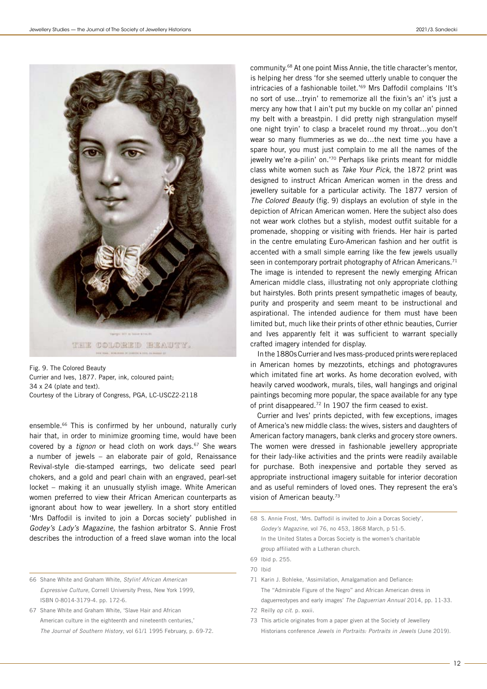

Fig. 9. The Colored Beauty Currier and Ives, 1877. Paper, ink, coloured paint; 34 x 24 (plate and text). Courtesy of the Library of Congress, PGA, LC-USCZ2-2118

ensemble.<sup>66</sup> This is confirmed by her unbound, naturally curly hair that, in order to minimize grooming time, would have been covered by a *tignon* or head cloth on work days.<sup>67</sup> She wears a number of jewels – an elaborate pair of gold, Renaissance Revival-style die-stamped earrings, two delicate seed pearl chokers, and a gold and pearl chain with an engraved, pearl-set locket – making it an unusually stylish image. White American women preferred to view their African American counterparts as ignorant about how to wear jewellery. In a short story entitled 'Mrs Daffodil is invited to join a Dorcas society' published in Godey's Lady's Magazine, the fashion arbitrator S. Annie Frost describes the introduction of a freed slave woman into the local

66 Shane White and Graham White, Stylin! African American Expressive Culture, Cornell University Press, New York 1999, ISBN 0-8014-3179-4. pp. 172-6.

67 Shane White and Graham White, 'Slave Hair and African American culture in the eighteenth and nineteenth centuries,' The Journal of Southern History, vol 61/1 1995 February, p. 69-72. community.68 At one point Miss Annie, the title character's mentor, is helping her dress 'for she seemed utterly unable to conquer the intricacies of a fashionable toilet.'69 Mrs Daffodil complains 'It's no sort of use…tryin' to rememorize all the fixin's an' it's just a mercy any how that I ain't put my buckle on my collar an' pinned my belt with a breastpin. I did pretty nigh strangulation myself one night tryin' to clasp a bracelet round my throat…you don't wear so many flummeries as we do…the next time you have a spare hour, you must just complain to me all the names of the jewelry we're a-pilin' on.'70 Perhaps like prints meant for middle class white women such as Take Your Pick, the 1872 print was designed to instruct African American women in the dress and jewellery suitable for a particular activity. The 1877 version of The Colored Beauty (fig. 9) displays an evolution of style in the depiction of African American women. Here the subject also does not wear work clothes but a stylish, modest outfit suitable for a promenade, shopping or visiting with friends. Her hair is parted in the centre emulating Euro-American fashion and her outfit is accented with a small simple earring like the few jewels usually seen in contemporary portrait photography of African Americans.<sup>71</sup> The image is intended to represent the newly emerging African American middle class, illustrating not only appropriate clothing but hairstyles. Both prints present sympathetic images of beauty, purity and prosperity and seem meant to be instructional and aspirational. The intended audience for them must have been limited but, much like their prints of other ethnic beauties, Currier and Ives apparently felt it was sufficient to warrant specially crafted imagery intended for display.

In the 1880s Currier and Ives mass-produced prints were replaced in American homes by mezzotints, etchings and photogravures which imitated fine art works. As home decoration evolved, with heavily carved woodwork, murals, tiles, wall hangings and original paintings becoming more popular, the space available for any type of print disappeared.72 In 1907 the firm ceased to exist.

Currier and Ives' prints depicted, with few exceptions, images of America's new middle class: the wives, sisters and daughters of American factory managers, bank clerks and grocery store owners. The women were dressed in fashionable jewellery appropriate for their lady-like activities and the prints were readily available for purchase. Both inexpensive and portable they served as appropriate instructional imagery suitable for interior decoration and as useful reminders of loved ones. They represent the era's vision of American beauty.73

68 S. Annie Frost, 'Mrs. Daffodil is invited to Join a Dorcas Society', Godey's Magazine, vol 76, no 453, 1868 March, p 51-5. In the United States a Dorcas Society is the women's charitable group affiliated with a Lutheran church.

71 Karin J. Bohleke, 'Assimilation, Amalgamation and Defiance: The "Admirable Figure of the Negro" and African American dress in daguerreotypes and early images' The Daguerrian Annual 2014, pp. 11-33.

72 Reilly op cit. p. xxxii.

73 This article originates from a paper given at the Society of Jewellery Historians conference Jewels in Portraits: Portraits in Jewels (June 2019).

<sup>69</sup> Ibid p. 255.

<sup>70</sup> Ibid